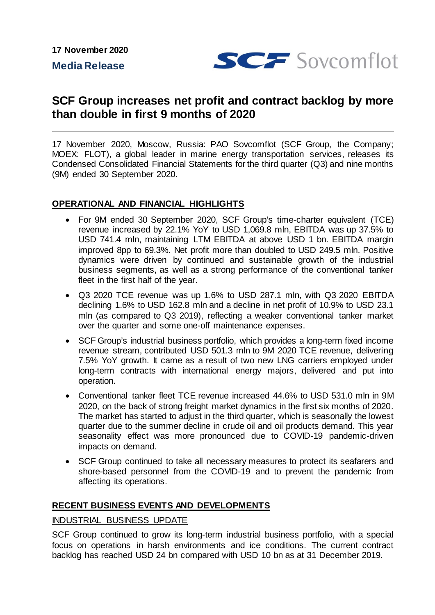**17 November 2020**

**Media Release**



# **SCF Group increases net profit and contract backlog by more than double in first 9 months of 2020**

17 November 2020, Moscow, Russia: PAO Sovcomflot (SCF Group, the Company; MOEX: FLOT), a global leader in marine energy transportation services, releases its Condensed Consolidated Financial Statements for the third quarter (Q3) and nine months (9M) ended 30 September 2020.

# **OPERATIONAL AND FINANCIAL HIGHLIGHTS**

- For 9M ended 30 September 2020, SCF Group's time-charter equivalent (TCE) revenue increased by 22.1% YoY to USD 1,069.8 mln, EBITDA was up 37.5% to USD 741.4 mln, maintaining LTM EBITDA at above USD 1 bn. EBITDA margin improved 8pp to 69.3%. Net profit more than doubled to USD 249.5 mln. Positive dynamics were driven by continued and sustainable growth of the industrial business segments, as well as a strong performance of the conventional tanker fleet in the first half of the year.
- Q3 2020 TCE revenue was up 1.6% to USD 287.1 mln, with Q3 2020 EBITDA declining 1.6% to USD 162.8 mln and a decline in net profit of 10.9% to USD 23.1 mln (as compared to Q3 2019), reflecting a weaker conventional tanker market over the quarter and some one-off maintenance expenses.
- SCF Group's industrial business portfolio, which provides a long-term fixed income revenue stream, contributed USD 501.3 mln to 9M 2020 TCE revenue, delivering 7.5% YoY growth. It came as a result of two new LNG carriers employed under long-term contracts with international energy majors, delivered and put into operation.
- Conventional tanker fleet TCE revenue increased 44.6% to USD 531.0 mln in 9M 2020, on the back of strong freight market dynamics in the first six months of 2020. The market has started to adjust in the third quarter, which is seasonally the lowest quarter due to the summer decline in crude oil and oil products demand. This year seasonality effect was more pronounced due to COVID-19 pandemic-driven impacts on demand.
- SCF Group continued to take all necessary measures to protect its seafarers and shore-based personnel from the COVID-19 and to prevent the pandemic from affecting its operations.

# **RECENT BUSINESS EVENTS AND DEVELOPMENTS**

#### INDUSTRIAL BUSINESS UPDATE

SCF Group continued to grow its long-term industrial business portfolio, with a special focus on operations in harsh environments and ice conditions. The current contract backlog has reached USD 24 bn compared with USD 10 bn as at 31 December 2019.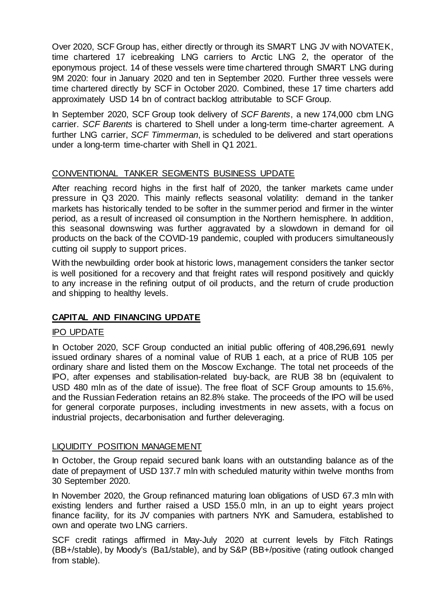Over 2020, SCF Group has, either directly or through its SMART LNG JV with NOVATEK, time chartered 17 icebreaking LNG carriers to Arctic LNG 2, the operator of the eponymous project. 14 of these vessels were time chartered through SMART LNG during 9M 2020: four in January 2020 and ten in September 2020. Further three vessels were time chartered directly by SCF in October 2020. Combined, these 17 time charters add approximately USD 14 bn of contract backlog attributable to SCF Group.

In September 2020, SCF Group took delivery of *SCF Barents*, a new 174,000 cbm LNG carrier. *SCF Barents* is chartered to Shell under a long-term time-charter agreement. A further LNG carrier, *SCF Timmerman*, is scheduled to be delivered and start operations under a long-term time-charter with Shell in Q1 2021.

## CONVENTIONAL TANKER SEGMENTS BUSINESS UPDATE

After reaching record highs in the first half of 2020, the tanker markets came under pressure in Q3 2020. This mainly reflects seasonal volatility: demand in the tanker markets has historically tended to be softer in the summer period and firmer in the winter period, as a result of increased oil consumption in the Northern hemisphere. In addition, this seasonal downswing was further aggravated by a slowdown in demand for oil products on the back of the COVID-19 pandemic, coupled with producers simultaneously cutting oil supply to support prices.

With the newbuilding order book at historic lows, management considers the tanker sector is well positioned for a recovery and that freight rates will respond positively and quickly to any increase in the refining output of oil products, and the return of crude production and shipping to healthy levels.

# **CAPITAL AND FINANCING UPDATE**

#### IPO UPDATE

In October 2020, SCF Group conducted an initial public offering of 408,296,691 newly issued ordinary shares of a nominal value of RUB 1 each, at a price of RUB 105 per ordinary share and listed them on the Moscow Exchange. The total net proceeds of the IPO, after expenses and stabilisation-related buy-back, are RUB 38 bn (equivalent to USD 480 mln as of the date of issue). The free float of SCF Group amounts to 15.6%, and the Russian Federation retains an 82.8% stake. The proceeds of the IPO will be used for general corporate purposes, including investments in new assets, with a focus on industrial projects, decarbonisation and further deleveraging.

#### LIQUIDITY POSITION MANAGEMENT

In October, the Group repaid secured bank loans with an outstanding balance as of the date of prepayment of USD 137.7 mln with scheduled maturity within twelve months from 30 September 2020.

In November 2020, the Group refinanced maturing loan obligations of USD 67.3 mln with existing lenders and further raised a USD 155.0 mln, in an up to eight years project finance facility, for its JV companies with partners NYK and Samudera, established to own and operate two LNG carriers.

SCF credit ratings affirmed in May-July 2020 at current levels by Fitch Ratings (BB+/stable), by Moody's (Ba1/stable), and by S&P (BB+/positive (rating outlook changed from stable).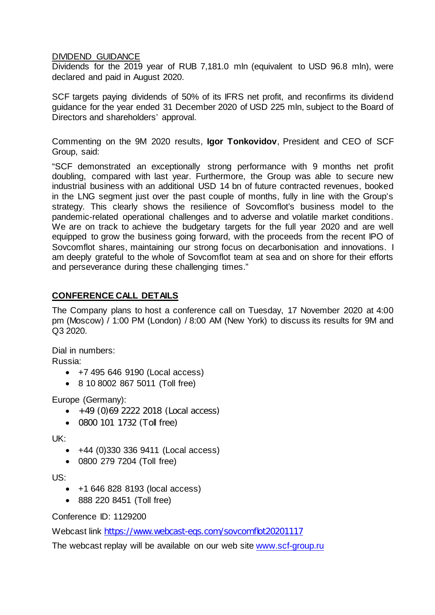### DIVIDEND GUIDANCE

Dividends for the 2019 year of RUB 7,181.0 mln (equivalent to USD 96.8 mln), were declared and paid in August 2020.

SCF targets paying dividends of 50% of its IFRS net profit, and reconfirms its dividend guidance for the year ended 31 December 2020 of USD 225 mln, subject to the Board of Directors and shareholders' approval.

Commenting on the 9M 2020 results, **Igor Tonkovidov**, President and CEO of SCF Group, said:

"SCF demonstrated an exceptionally strong performance with 9 months net profit doubling, compared with last year. Furthermore, the Group was able to secure new industrial business with an additional USD 14 bn of future contracted revenues, booked in the LNG segment just over the past couple of months, fully in line with the Group's strategy. This clearly shows the resilience of Sovcomflot's business model to the pandemic-related operational challenges and to adverse and volatile market conditions. We are on track to achieve the budgetary targets for the full year 2020 and are well equipped to grow the business going forward, with the proceeds from the recent IPO of Sovcomflot shares, maintaining our strong focus on decarbonisation and innovations. I am deeply grateful to the whole of Sovcomflot team at sea and on shore for their efforts and perseverance during these challenging times."

# **CONFERENCE CALL DETAILS**

The Company plans to host a conference call on Tuesday, 17 November 2020 at 4:00 pm (Moscow) / 1:00 PM (London) / 8:00 AM (New York) to discuss its results for 9M and Q3 2020.

Dial in numbers: Russia:

- +7 495 646 9190 (Local access)
- 8 10 8002 867 5011 (Toll free)

Europe (Germany):

- $\bullet$  +49 (0)69 2222 2018 (Local access)
- 0800 101 1732 (Toll free)

UK:

- +44 (0)330 336 9411 (Local access)
- 0800 279 7204 (Toll free)

US:

- +1 646 828 8193 (local access)
- 888 220 8451 (Toll free)

Conference ID: 1129200

Webcast link <https://www.webcast-eqs.com/sovcomflot20201117>

The webcast replay will be available on our web site [www.scf-group.ru](http://www.scf-group.ru/)